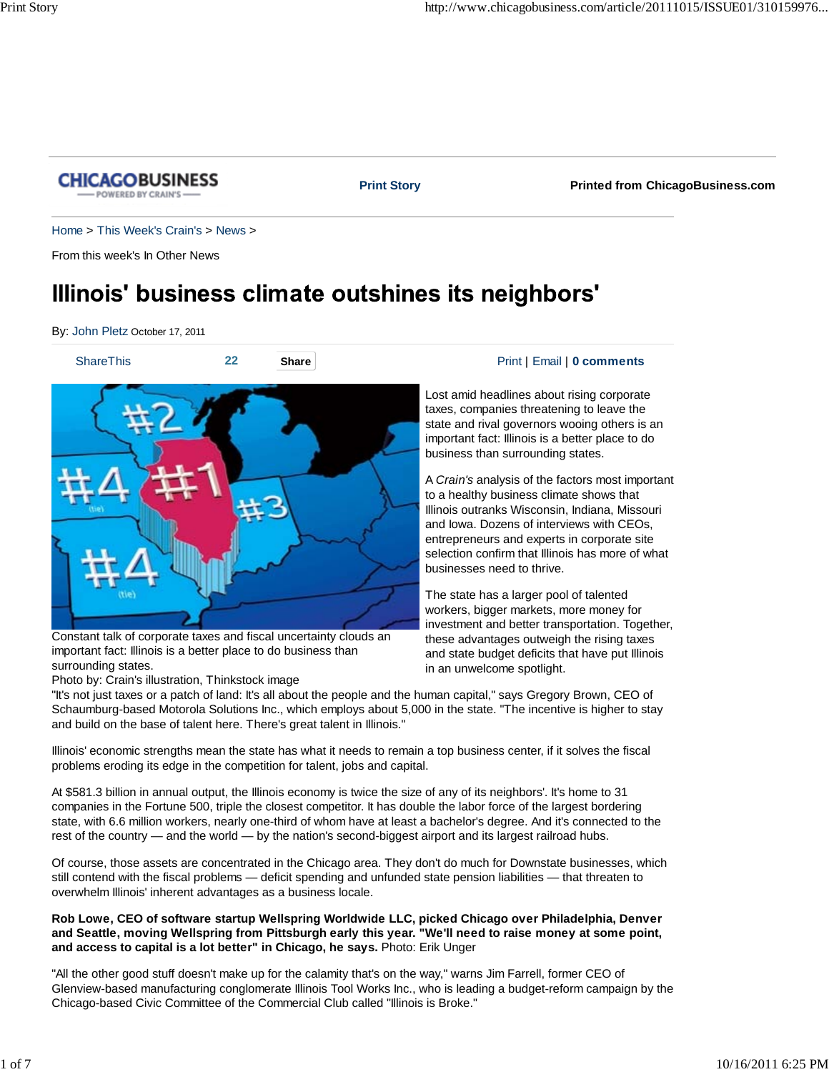

#### **Print Story Printed from ChicagoBusiness.com**

Home > This Week's Crain's > News >

From this week's In Other News

# Illinois' business climate outshines its neighbors'

By: John Pletz October 17, 2011



Constant talk of corporate taxes and fiscal uncertainty clouds an important fact: Illinois is a better place to do business than surrounding states.

#### Photo by: Crain's illustration, Thinkstock image

#### **22 20 Share Print | Email | 0 comments**

Lost amid headlines about rising corporate taxes, companies threatening to leave the state and rival governors wooing others is an important fact: Illinois is a better place to do business than surrounding states.

A *Crain's* analysis of the factors most important to a healthy business climate shows that Illinois outranks Wisconsin, Indiana, Missouri and Iowa. Dozens of interviews with CEOs, entrepreneurs and experts in corporate site selection confirm that Illinois has more of what businesses need to thrive.

The state has a larger pool of talented workers, bigger markets, more money for investment and better transportation. Together, these advantages outweigh the rising taxes and state budget deficits that have put Illinois in an unwelcome spotlight.

"It's not just taxes or a patch of land: It's all about the people and the human capital," says Gregory Brown, CEO of Schaumburg-based Motorola Solutions Inc., which employs about 5,000 in the state. "The incentive is higher to stay and build on the base of talent here. There's great talent in Illinois."

Illinois' economic strengths mean the state has what it needs to remain a top business center, if it solves the fiscal problems eroding its edge in the competition for talent, jobs and capital.

At \$581.3 billion in annual output, the Illinois economy is twice the size of any of its neighbors'. It's home to 31 companies in the Fortune 500, triple the closest competitor. It has double the labor force of the largest bordering state, with 6.6 million workers, nearly one-third of whom have at least a bachelor's degree. And it's connected to the rest of the country — and the world — by the nation's second-biggest airport and its largest railroad hubs.

Of course, those assets are concentrated in the Chicago area. They don't do much for Downstate businesses, which still contend with the fiscal problems — deficit spending and unfunded state pension liabilities — that threaten to overwhelm Illinois' inherent advantages as a business locale.

**Rob Lowe, CEO of software startup Wellspring Worldwide LLC, picked Chicago over Philadelphia, Denver and Seattle, moving Wellspring from Pittsburgh early this year. "We'll need to raise money at some point, and access to capital is a lot better" in Chicago, he says.** Photo: Erik Unger

"All the other good stuff doesn't make up for the calamity that's on the way," warns Jim Farrell, former CEO of Glenview-based manufacturing conglomerate Illinois Tool Works Inc., who is leading a budget-reform campaign by the Chicago-based Civic Committee of the Commercial Club called "Illinois is Broke."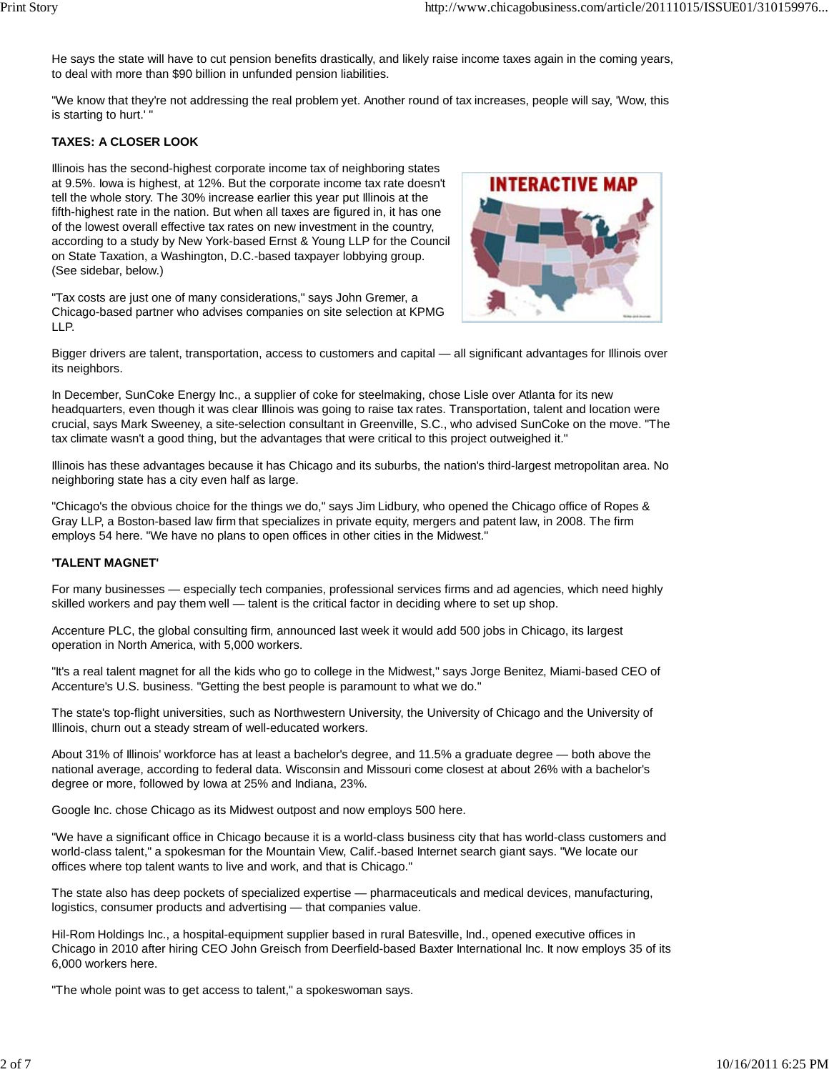He says the state will have to cut pension benefits drastically, and likely raise income taxes again in the coming years, to deal with more than \$90 billion in unfunded pension liabilities.

"We know that they're not addressing the real problem yet. Another round of tax increases, people will say, 'Wow, this is starting to hurt.' "

#### **TAXES: A CLOSER LOOK**

Illinois has the second-highest corporate income tax of neighboring states at 9.5%. Iowa is highest, at 12%. But the corporate income tax rate doesn't tell the whole story. The 30% increase earlier this year put Illinois at the fifth-highest rate in the nation. But when all taxes are figured in, it has one of the lowest overall effective tax rates on new investment in the country, according to a study by New York-based Ernst & Young LLP for the Council on State Taxation, a Washington, D.C.-based taxpayer lobbying group. (See sidebar, below.)

"Tax costs are just one of many considerations," says John Gremer, a Chicago-based partner who advises companies on site selection at KPMG LLP.



Bigger drivers are talent, transportation, access to customers and capital — all significant advantages for Illinois over its neighbors.

In December, SunCoke Energy Inc., a supplier of coke for steelmaking, chose Lisle over Atlanta for its new headquarters, even though it was clear Illinois was going to raise tax rates. Transportation, talent and location were crucial, says Mark Sweeney, a site-selection consultant in Greenville, S.C., who advised SunCoke on the move. "The tax climate wasn't a good thing, but the advantages that were critical to this project outweighed it."

Illinois has these advantages because it has Chicago and its suburbs, the nation's third-largest metropolitan area. No neighboring state has a city even half as large.

"Chicago's the obvious choice for the things we do," says Jim Lidbury, who opened the Chicago office of Ropes & Gray LLP, a Boston-based law firm that specializes in private equity, mergers and patent law, in 2008. The firm employs 54 here. "We have no plans to open offices in other cities in the Midwest."

#### **'TALENT MAGNET'**

For many businesses — especially tech companies, professional services firms and ad agencies, which need highly skilled workers and pay them well — talent is the critical factor in deciding where to set up shop.

Accenture PLC, the global consulting firm, announced last week it would add 500 jobs in Chicago, its largest operation in North America, with 5,000 workers.

"It's a real talent magnet for all the kids who go to college in the Midwest," says Jorge Benitez, Miami-based CEO of Accenture's U.S. business. "Getting the best people is paramount to what we do."

The state's top-flight universities, such as Northwestern University, the University of Chicago and the University of Illinois, churn out a steady stream of well-educated workers.

About 31% of Illinois' workforce has at least a bachelor's degree, and 11.5% a graduate degree — both above the national average, according to federal data. Wisconsin and Missouri come closest at about 26% with a bachelor's degree or more, followed by Iowa at 25% and Indiana, 23%.

Google Inc. chose Chicago as its Midwest outpost and now employs 500 here.

"We have a significant office in Chicago because it is a world-class business city that has world-class customers and world-class talent," a spokesman for the Mountain View, Calif.-based Internet search giant says. "We locate our offices where top talent wants to live and work, and that is Chicago."

The state also has deep pockets of specialized expertise — pharmaceuticals and medical devices, manufacturing, logistics, consumer products and advertising — that companies value.

Hil-Rom Holdings Inc., a hospital-equipment supplier based in rural Batesville, Ind., opened executive offices in Chicago in 2010 after hiring CEO John Greisch from Deerfield-based Baxter International Inc. It now employs 35 of its 6,000 workers here.

"The whole point was to get access to talent," a spokeswoman says.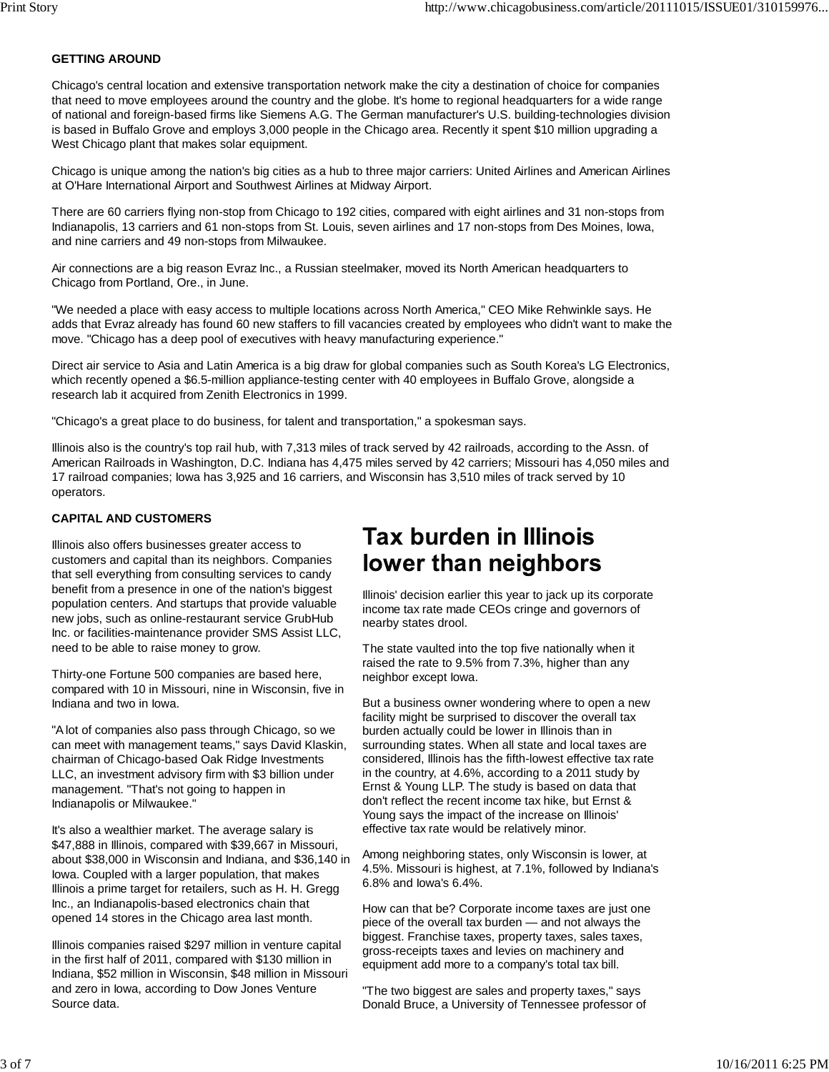#### **GETTING AROUND**

Chicago's central location and extensive transportation network make the city a destination of choice for companies that need to move employees around the country and the globe. It's home to regional headquarters for a wide range of national and foreign-based firms like Siemens A.G. The German manufacturer's U.S. building-technologies division is based in Buffalo Grove and employs 3,000 people in the Chicago area. Recently it spent \$10 million upgrading a West Chicago plant that makes solar equipment.

Chicago is unique among the nation's big cities as a hub to three major carriers: United Airlines and American Airlines at O'Hare International Airport and Southwest Airlines at Midway Airport.

There are 60 carriers flying non-stop from Chicago to 192 cities, compared with eight airlines and 31 non-stops from Indianapolis, 13 carriers and 61 non-stops from St. Louis, seven airlines and 17 non-stops from Des Moines, Iowa, and nine carriers and 49 non-stops from Milwaukee.

Air connections are a big reason Evraz Inc., a Russian steelmaker, moved its North American headquarters to Chicago from Portland, Ore., in June.

"We needed a place with easy access to multiple locations across North America," CEO Mike Rehwinkle says. He adds that Evraz already has found 60 new staffers to fill vacancies created by employees who didn't want to make the move. "Chicago has a deep pool of executives with heavy manufacturing experience."

Direct air service to Asia and Latin America is a big draw for global companies such as South Korea's LG Electronics, which recently opened a \$6.5-million appliance-testing center with 40 employees in Buffalo Grove, alongside a research lab it acquired from Zenith Electronics in 1999.

"Chicago's a great place to do business, for talent and transportation," a spokesman says.

Illinois also is the country's top rail hub, with 7,313 miles of track served by 42 railroads, according to the Assn. of American Railroads in Washington, D.C. Indiana has 4,475 miles served by 42 carriers; Missouri has 4,050 miles and 17 railroad companies; Iowa has 3,925 and 16 carriers, and Wisconsin has 3,510 miles of track served by 10 operators.

#### **CAPITAL AND CUSTOMERS**

Illinois also offers businesses greater access to customers and capital than its neighbors. Companies that sell everything from consulting services to candy benefit from a presence in one of the nation's biggest population centers. And startups that provide valuable new jobs, such as online-restaurant service GrubHub Inc. or facilities-maintenance provider SMS Assist LLC, need to be able to raise money to grow.

Thirty-one Fortune 500 companies are based here, compared with 10 in Missouri, nine in Wisconsin, five in Indiana and two in Iowa.

"A lot of companies also pass through Chicago, so we can meet with management teams," says David Klaskin, chairman of Chicago-based Oak Ridge Investments LLC, an investment advisory firm with \$3 billion under management. "That's not going to happen in Indianapolis or Milwaukee."

It's also a wealthier market. The average salary is \$47,888 in Illinois, compared with \$39,667 in Missouri, about \$38,000 in Wisconsin and Indiana, and \$36,140 in Iowa. Coupled with a larger population, that makes Illinois a prime target for retailers, such as H. H. Gregg Inc., an Indianapolis-based electronics chain that opened 14 stores in the Chicago area last month.

Illinois companies raised \$297 million in venture capital in the first half of 2011, compared with \$130 million in Indiana, \$52 million in Wisconsin, \$48 million in Missouri and zero in Iowa, according to Dow Jones Venture Source data.

## **Tax burden in Illinois** lower than neighbors

Illinois' decision earlier this year to jack up its corporate income tax rate made CEOs cringe and governors of nearby states drool.

The state vaulted into the top five nationally when it raised the rate to 9.5% from 7.3%, higher than any neighbor except Iowa.

But a business owner wondering where to open a new facility might be surprised to discover the overall tax burden actually could be lower in Illinois than in surrounding states. When all state and local taxes are considered, Illinois has the fifth-lowest effective tax rate in the country, at 4.6%, according to a 2011 study by Ernst & Young LLP. The study is based on data that don't reflect the recent income tax hike, but Ernst & Young says the impact of the increase on Illinois' effective tax rate would be relatively minor.

Among neighboring states, only Wisconsin is lower, at 4.5%. Missouri is highest, at 7.1%, followed by Indiana's 6.8% and Iowa's 6.4%.

How can that be? Corporate income taxes are just one piece of the overall tax burden — and not always the biggest. Franchise taxes, property taxes, sales taxes, gross-receipts taxes and levies on machinery and equipment add more to a company's total tax bill.

"The two biggest are sales and property taxes," says Donald Bruce, a University of Tennessee professor of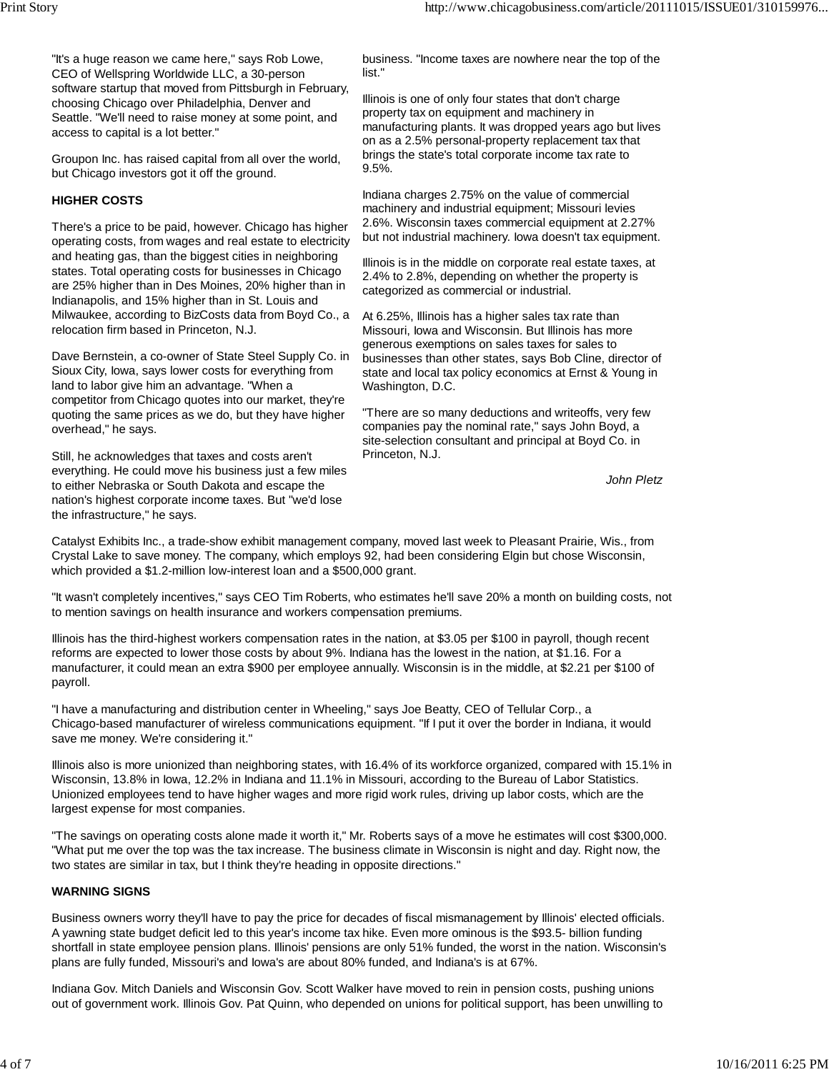"It's a huge reason we came here," says Rob Lowe, CEO of Wellspring Worldwide LLC, a 30-person software startup that moved from Pittsburgh in February, choosing Chicago over Philadelphia, Denver and Seattle. "We'll need to raise money at some point, and access to capital is a lot better."

Groupon Inc. has raised capital from all over the world, but Chicago investors got it off the ground.

#### **HIGHER COSTS**

There's a price to be paid, however. Chicago has higher operating costs, from wages and real estate to electricity and heating gas, than the biggest cities in neighboring states. Total operating costs for businesses in Chicago are 25% higher than in Des Moines, 20% higher than in Indianapolis, and 15% higher than in St. Louis and Milwaukee, according to BizCosts data from Boyd Co., a relocation firm based in Princeton, N.J.

Dave Bernstein, a co-owner of State Steel Supply Co. in Sioux City, Iowa, says lower costs for everything from land to labor give him an advantage. "When a competitor from Chicago quotes into our market, they're quoting the same prices as we do, but they have higher overhead," he says.

Still, he acknowledges that taxes and costs aren't everything. He could move his business just a few miles to either Nebraska or South Dakota and escape the nation's highest corporate income taxes. But "we'd lose the infrastructure," he says.

business. "Income taxes are nowhere near the top of the list."

Illinois is one of only four states that don't charge property tax on equipment and machinery in manufacturing plants. It was dropped years ago but lives on as a 2.5% personal-property replacement tax that brings the state's total corporate income tax rate to 9.5%.

Indiana charges 2.75% on the value of commercial machinery and industrial equipment; Missouri levies 2.6%. Wisconsin taxes commercial equipment at 2.27% but not industrial machinery. Iowa doesn't tax equipment.

Illinois is in the middle on corporate real estate taxes, at 2.4% to 2.8%, depending on whether the property is categorized as commercial or industrial.

At 6.25%, Illinois has a higher sales tax rate than Missouri, Iowa and Wisconsin. But Illinois has more generous exemptions on sales taxes for sales to businesses than other states, says Bob Cline, director of state and local tax policy economics at Ernst & Young in Washington, D.C.

"There are so many deductions and writeoffs, very few companies pay the nominal rate," says John Boyd, a site-selection consultant and principal at Boyd Co. in Princeton, N.J.

*John Pletz*

Catalyst Exhibits Inc., a trade-show exhibit management company, moved last week to Pleasant Prairie, Wis., from Crystal Lake to save money. The company, which employs 92, had been considering Elgin but chose Wisconsin, which provided a \$1.2-million low-interest loan and a \$500,000 grant.

"It wasn't completely incentives," says CEO Tim Roberts, who estimates he'll save 20% a month on building costs, not to mention savings on health insurance and workers compensation premiums.

Illinois has the third-highest workers compensation rates in the nation, at \$3.05 per \$100 in payroll, though recent reforms are expected to lower those costs by about 9%. Indiana has the lowest in the nation, at \$1.16. For a manufacturer, it could mean an extra \$900 per employee annually. Wisconsin is in the middle, at \$2.21 per \$100 of payroll.

"I have a manufacturing and distribution center in Wheeling," says Joe Beatty, CEO of Tellular Corp., a Chicago-based manufacturer of wireless communications equipment. "If I put it over the border in Indiana, it would save me money. We're considering it."

Illinois also is more unionized than neighboring states, with 16.4% of its workforce organized, compared with 15.1% in Wisconsin, 13.8% in Iowa, 12.2% in Indiana and 11.1% in Missouri, according to the Bureau of Labor Statistics. Unionized employees tend to have higher wages and more rigid work rules, driving up labor costs, which are the largest expense for most companies.

"The savings on operating costs alone made it worth it," Mr. Roberts says of a move he estimates will cost \$300,000. "What put me over the top was the tax increase. The business climate in Wisconsin is night and day. Right now, the two states are similar in tax, but I think they're heading in opposite directions."

#### **WARNING SIGNS**

Business owners worry they'll have to pay the price for decades of fiscal mismanagement by Illinois' elected officials. A yawning state budget deficit led to this year's income tax hike. Even more ominous is the \$93.5- billion funding shortfall in state employee pension plans. Illinois' pensions are only 51% funded, the worst in the nation. Wisconsin's plans are fully funded, Missouri's and Iowa's are about 80% funded, and Indiana's is at 67%.

Indiana Gov. Mitch Daniels and Wisconsin Gov. Scott Walker have moved to rein in pension costs, pushing unions out of government work. Illinois Gov. Pat Quinn, who depended on unions for political support, has been unwilling to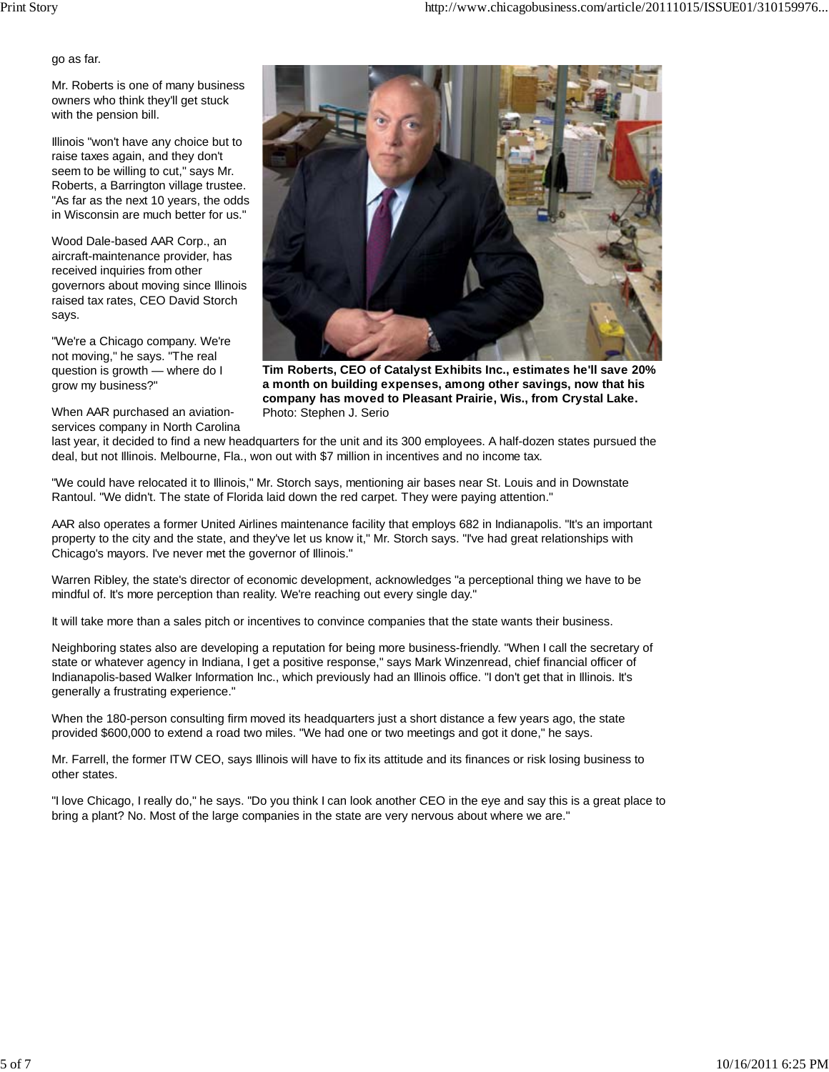go as far.

Mr. Roberts is one of many business owners who think they'll get stuck with the pension bill.

Illinois "won't have any choice but to raise taxes again, and they don't seem to be willing to cut," says Mr. Roberts, a Barrington village trustee. "As far as the next 10 years, the odds in Wisconsin are much better for us."

Wood Dale-based AAR Corp., an aircraft-maintenance provider, has received inquiries from other governors about moving since Illinois raised tax rates, CEO David Storch says.

"We're a Chicago company. We're not moving," he says. "The real question is growth — where do I grow my business?"

When AAR purchased an aviationservices company in North Carolina



**Tim Roberts, CEO of Catalyst Exhibits Inc., estimates he'll save 20% a month on building expenses, among other savings, now that his company has moved to Pleasant Prairie, Wis., from Crystal Lake.** Photo: Stephen J. Serio

last year, it decided to find a new headquarters for the unit and its 300 employees. A half-dozen states pursued the deal, but not Illinois. Melbourne, Fla., won out with \$7 million in incentives and no income tax.

"We could have relocated it to Illinois," Mr. Storch says, mentioning air bases near St. Louis and in Downstate Rantoul. "We didn't. The state of Florida laid down the red carpet. They were paying attention."

AAR also operates a former United Airlines maintenance facility that employs 682 in Indianapolis. "It's an important property to the city and the state, and they've let us know it," Mr. Storch says. "I've had great relationships with Chicago's mayors. I've never met the governor of Illinois."

Warren Ribley, the state's director of economic development, acknowledges "a perceptional thing we have to be mindful of. It's more perception than reality. We're reaching out every single day."

It will take more than a sales pitch or incentives to convince companies that the state wants their business.

Neighboring states also are developing a reputation for being more business-friendly. "When I call the secretary of state or whatever agency in Indiana, I get a positive response," says Mark Winzenread, chief financial officer of Indianapolis-based Walker Information Inc., which previously had an Illinois office. "I don't get that in Illinois. It's generally a frustrating experience."

When the 180-person consulting firm moved its headquarters just a short distance a few years ago, the state provided \$600,000 to extend a road two miles. "We had one or two meetings and got it done," he says.

Mr. Farrell, the former ITW CEO, says Illinois will have to fix its attitude and its finances or risk losing business to other states.

"I love Chicago, I really do," he says. "Do you think I can look another CEO in the eye and say this is a great place to bring a plant? No. Most of the large companies in the state are very nervous about where we are."